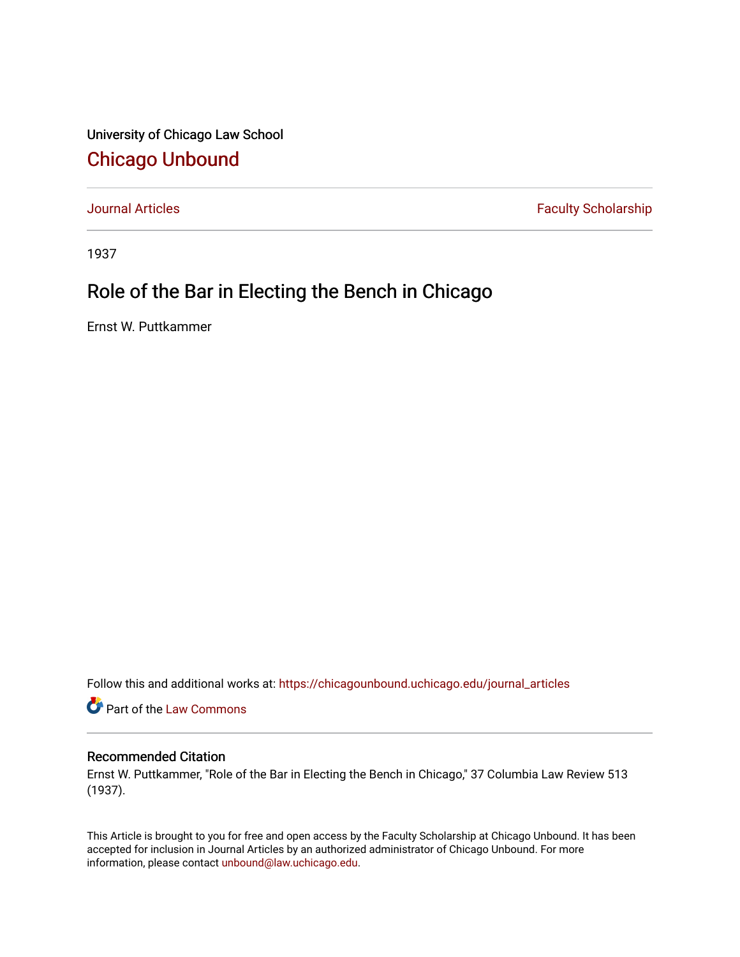University of Chicago Law School [Chicago Unbound](https://chicagounbound.uchicago.edu/)

[Journal Articles](https://chicagounbound.uchicago.edu/journal_articles) **Faculty Scholarship Faculty Scholarship** 

1937

## Role of the Bar in Electing the Bench in Chicago

Ernst W. Puttkammer

Follow this and additional works at: [https://chicagounbound.uchicago.edu/journal\\_articles](https://chicagounbound.uchicago.edu/journal_articles?utm_source=chicagounbound.uchicago.edu%2Fjournal_articles%2F9361&utm_medium=PDF&utm_campaign=PDFCoverPages) 

Part of the [Law Commons](http://network.bepress.com/hgg/discipline/578?utm_source=chicagounbound.uchicago.edu%2Fjournal_articles%2F9361&utm_medium=PDF&utm_campaign=PDFCoverPages)

## Recommended Citation

Ernst W. Puttkammer, "Role of the Bar in Electing the Bench in Chicago," 37 Columbia Law Review 513 (1937).

This Article is brought to you for free and open access by the Faculty Scholarship at Chicago Unbound. It has been accepted for inclusion in Journal Articles by an authorized administrator of Chicago Unbound. For more information, please contact [unbound@law.uchicago.edu](mailto:unbound@law.uchicago.edu).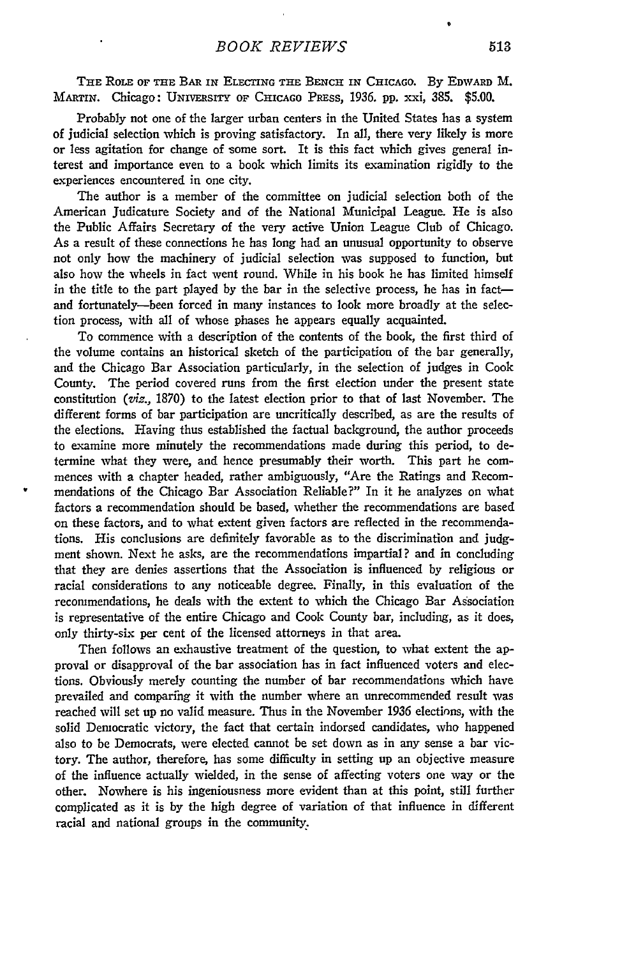THE ROLE OF THE BAR IN **ELECTING** THE BENCH **IN** CHICAGO. By EDWARD M. MARTix. Chicago: UNivERsITY OF CHICAGO **PRESS, 1936. pp.** xxi, **385. \$5.00.**

Probably not one of the larger urban centers in the United States has a system of judicial selection which is proving satisfactory. In all, there very likely is more or less agitation for change of some sort. It is this fact which gives general interest and importance even to a book which limits its examination rigidly to the experiences encountered in one city.

The author is a member of the committee on judicial selection both of the American Judicature Society and of the National Municipal League. He is also the Public Affairs Secretary of the very active Union League Club of Chicago. As a result of these connections he has long had an unusual opportunity to observe not only how the machinery of judicial selection was supposed to function, but also how the wheels in fact went round. While in his book he has limited himself in the title to the part played by the bar in the selective process, he has in factand fortunately-been forced in many instances to look more broadly at the selection process, with all of whose phases he appears equally acquainted.

To commence with a description of the contents of the book, the first third of the volume contains an historical sketch of the participation of the bar generally, and the Chicago Bar Association particularly, in the selection of judges in Cook County. The period covered runs from the first election under the present state constitution (viz., 1870) to the latest election prior to that of last November. The different forms of bar participation are uncritically described, as are the results of the elections. Having thus established the factual background, the author proceeds to examine more minutely the recommendations made during this period, to determine what they were, and hence presumably their worth. This part he commences with a chapter headed, rather ambiguously, "Are the Ratings and Recommendations of the Chicago Bar Association Reliable?" In it he analyzes on what factors a recommendation should be based, whether the recommendations are based on these factors, and to what extent given factors are reflected in the recommendations. His conclusions are definitely favorable as to the discrimination and judgment shown. Next he asks, are the recommendations impartial? and in concluding that they are denies assertions that the Association is influenced by religious or racial considerations to any noticeable degree. Finally, in this evaluation of the recommendations, he deals with the extent to which the Chicago Bar Association is representative of the entire Chicago and Cook County bar, including, as it does, only thirty-six per cent of the licensed attorneys in that area.

Then follows an exhaustive treatment of the question, to what extent the approval or disapproval of the bar association has in fact influenced voters and elections. Obviously merely counting the number of bar recommendations which have prevailed and comparihg it with the number where an unrecommended result was reached will set up no valid measure. Thus in the November 1936 elections, with the solid Democratic victory, the fact that certain indorsed candidates, who happened also to be Democrats, were elected cannot be set down as in any sense a bar victory. The author, therefore, has some difficulty in setting up an objective measure of the influence actually wielded, in the sense of affecting voters one way or the other. Nowhere is his ingeniousness more evident than at this point, still further complicated as it is by the high degree of variation of that influence in different racial and national groups in the community.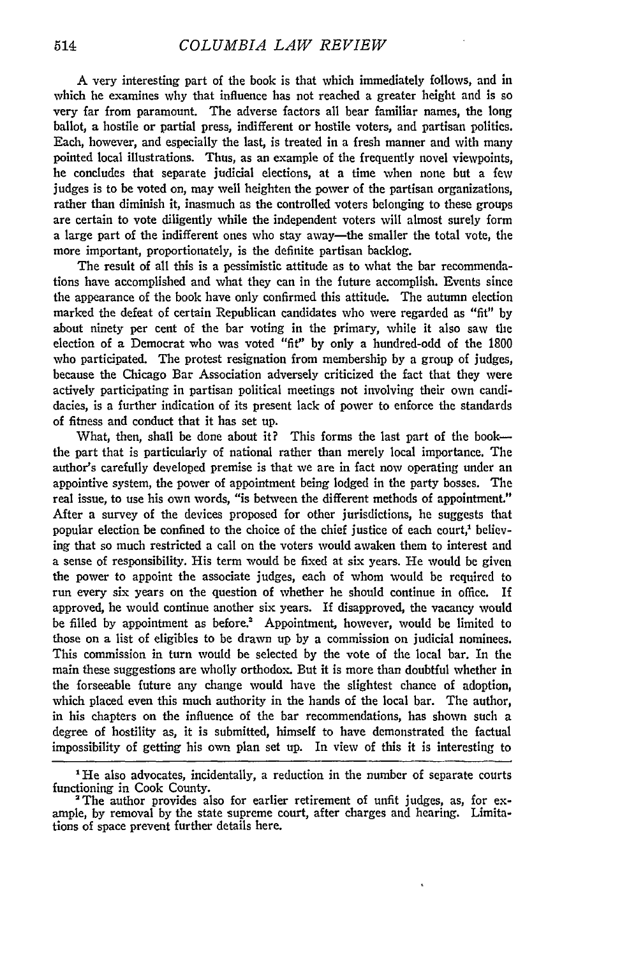**A** very interesting part of the book is that which immediately follows, and in which **he** examines why that influence has not reached a greater height and is **so** very far from paramount. The adverse factors all bear familiar names, the long ballot, a hostile or partial press, indifferent or hostile voters, and partisan politics. Each, however, and especially the last, is treated in a fresh manner and with many pointed local illustrations. Thus, as an example of the frequently novel viewpoints, he concludes that separate judicial elections, at a time when none but a few judges is to be voted on, may well heighten the power of the partisan organizations, rather than diminish it, inasmuch as the controlled voters belonging to these groups are certain to vote diligently while the independent voters will almost surely form a large part of the indifferent ones who stay away—the smaller the total vote, the more important, proportionately, is the definite partisan backlog.

The result of all this is a pessimistic attitude as to what the bar recommendations have accomplished and what they can in the future accomplish. Events since the appearance of the book have only confirmed this attitude. The autumn election marked the defeat of certain Republican candidates **who** were regarded as *"fit"* **by** about ninety per cent of the bar voting in the primary, while it also saw the election of a Democrat who **was** voted "fit" **by** only a hundred-odd of the **1800** who participated. The protest resignation from membership **by** a group of **judges,** because the Chicago Bar Association adversely criticized the fact that they were actively participating in partisan political meetings not involving their own candidacies, is a further indication of its present lack of power to enforce the standards of fitness and conduct that it has set up.

What, then, shall be done about it? This forms the last part of the book-the part that is particularly of national rather than merely local importance. The author's carefully developed premise is that we are in fact now operating under an appointive system, the power of appointment being lodged in the party bosses. **The** real issue, to use his own words, "is between the different methods of appointment." After a survey of the devices proposed for other jurisdictions, he suggests that popular election be confined to the choice of the chief justice of each court,<sup>1</sup> believing that so much restricted a call on the voters would awaken them to interest and a sense of responsibility. His term would be fixed at six years. He would be given the power to appoint the associate judges, each of whom would **be** required to run every six years on the question of whether he should continue in office. If approved, he would continue another six years. If disapproved, the vacancy would be filled by appointment as before.<sup>2</sup> Appointment, however, would be limited to those on a list of eligibles to be drawn up **by** a commission on judicial nominees. This commission in turn would be selected **by** the vote of the local bar. In the main these suggestions are wholly orthodox. But it is more than doubtful whether in the forseeable future any change would have the slightest chance of adoption, which placed even this much authority in the hands of the local bar. The author, in his chapters on the influence of the bar recommendations, has shown such a degree **of** hostility as, it is submitted, himself to have demonstrated the factual impossibility of getting his own plan set up. In view of this it is interesting to

**<sup>&#</sup>x27;He** also advocates, incidentally, a reduction in the number of separate courts functioning in Cook County. **'The** author provides also for earlier retirement of unfit judges, as, for **ex-**

ample, **by** removal **by** the state supreme court, after charges and hearing. Limitations of space prevent further details here.